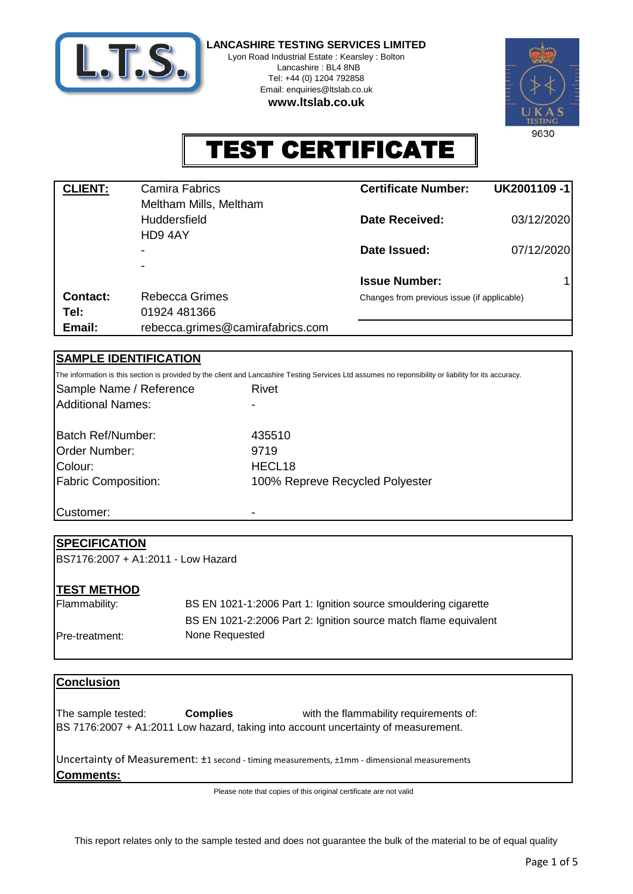

Lyon Road Industrial Estate : Kearsley : Bolton Lancashire : BL4 8NB Tel: +44 (0) 1204 792858 Email: enquiries@ltslab.co.uk **www.ltslab.co.uk**



TEST CERTIFICATE

| <b>CLIENT:</b>          | <b>Camira Fabrics</b><br>Meltham Mills, Meltham | <b>Certificate Number:</b>                  | UK2001109-1 |  |
|-------------------------|-------------------------------------------------|---------------------------------------------|-------------|--|
|                         | <b>Huddersfield</b><br>HD94AY                   | Date Received:                              | 03/12/2020  |  |
|                         | $\,$                                            | Date Issued:                                | 07/12/2020  |  |
|                         |                                                 | <b>Issue Number:</b>                        | 1           |  |
| <b>Contact:</b><br>Tel: | Rebecca Grimes<br>01924 481366                  | Changes from previous issue (if applicable) |             |  |
| Email:                  | rebecca.grimes@camirafabrics.com                |                                             |             |  |

# **SAMPLE IDENTIFICATION**

The information is this section is provided by the client and Lancashire Testing Services Ltd assumes no reponsibility or liability for its accuracy.

| Sample Name / Reference    | Rivet                           |  |
|----------------------------|---------------------------------|--|
| Additional Names:          |                                 |  |
|                            |                                 |  |
| Batch Ref/Number:          | 435510                          |  |
| <b>Order Number:</b>       | 9719                            |  |
| Colour:                    | HECL18                          |  |
| <b>Fabric Composition:</b> | 100% Repreve Recycled Polyester |  |
|                            |                                 |  |
| Customer:                  |                                 |  |

# **SPECIFICATION**

BS7176:2007 + A1:2011 - Low Hazard

# **TEST METHOD**

BS EN 1021-1:2006 Part 1: Ignition source smouldering cigarette BS EN 1021-2:2006 Part 2: Ignition source match flame equivalent None Requested Pre-treatment: Flammability:

### **Conclusion**

with the flammability requirements of: BS 7176:2007 + A1:2011 Low hazard, taking into account uncertainty of measurement. The sample tested: **Complies**

Uncertainty of Measurement: ±1 second - timing measurements, ±1mm - dimensional measurements **Comments:**

Please note that copies of this original certificate are not valid

This report relates only to the sample tested and does not guarantee the bulk of the material to be of equal quality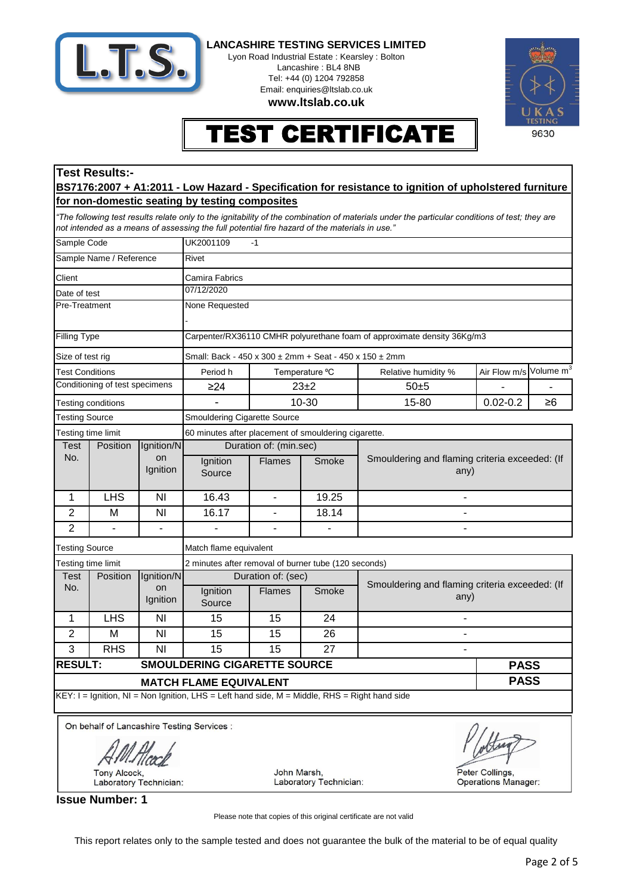

Lyon Road Industrial Estate : Kearsley : Bolton Lancashire : BL4 8NB Tel: +44 (0) 1204 792858

Email: enquiries@ltslab.co.uk

**www.ltslab.co.uk**





### **Test Results:- BS7176:2007 + A1:2011 - Low Hazard - Specification for resistance to ignition of upholstered furniture for non-domestic seating by testing composites**

*"The following test results relate only to the ignitability of the combination of materials under the particular conditions of test; they are not intended as a means of assessing the full potential fire hazard of the materials in use."*

| Sample Code                                                                                   |                    | UK2001109<br>$-1$                                                       |                                                        |                          |                       |                                                        |             |  |  |
|-----------------------------------------------------------------------------------------------|--------------------|-------------------------------------------------------------------------|--------------------------------------------------------|--------------------------|-----------------------|--------------------------------------------------------|-------------|--|--|
| Sample Name / Reference                                                                       |                    | Rivet                                                                   |                                                        |                          |                       |                                                        |             |  |  |
| Client                                                                                        |                    | Camira Fabrics                                                          |                                                        |                          |                       |                                                        |             |  |  |
| Date of test                                                                                  |                    |                                                                         | 07/12/2020                                             |                          |                       |                                                        |             |  |  |
| Pre-Treatment                                                                                 |                    |                                                                         | None Requested                                         |                          |                       |                                                        |             |  |  |
|                                                                                               |                    |                                                                         |                                                        |                          |                       |                                                        |             |  |  |
| <b>Filling Type</b>                                                                           |                    | Carpenter/RX36110 CMHR polyurethane foam of approximate density 36Kg/m3 |                                                        |                          |                       |                                                        |             |  |  |
| Size of test rig                                                                              |                    |                                                                         | Small: Back - 450 x 300 ± 2mm + Seat - 450 x 150 ± 2mm |                          |                       |                                                        |             |  |  |
| <b>Test Conditions</b>                                                                        |                    | Period h                                                                | Temperature °C                                         |                          | Relative humidity %   | Air Flow m/s Volume m <sup>3</sup>                     |             |  |  |
| Conditioning of test specimens                                                                |                    | $\geq$ 24                                                               |                                                        | $23 + 2$                 | 50±5                  |                                                        |             |  |  |
| Testing conditions                                                                            |                    |                                                                         |                                                        | 10-30                    | 15-80<br>$0.02 - 0.2$ |                                                        | $\geq 6$    |  |  |
| <b>Testing Source</b>                                                                         |                    |                                                                         | Smouldering Cigarette Source                           |                          |                       |                                                        |             |  |  |
|                                                                                               | Testing time limit |                                                                         | 60 minutes after placement of smouldering cigarette.   |                          |                       |                                                        |             |  |  |
| <b>Test</b>                                                                                   | Position           | Ignition/N<br>on<br>Ignition                                            |                                                        | Duration of: (min.sec)   |                       |                                                        |             |  |  |
| No.                                                                                           |                    |                                                                         | Ignition                                               | <b>Flames</b>            | Smoke                 | Smouldering and flaming criteria exceeded: (If         |             |  |  |
|                                                                                               |                    |                                                                         | any)<br>Source                                         |                          |                       |                                                        |             |  |  |
| 1                                                                                             | <b>LHS</b>         | <b>NI</b>                                                               | 16.43                                                  |                          | 19.25                 |                                                        |             |  |  |
| $\overline{2}$                                                                                | M                  | N <sub>l</sub>                                                          | 16.17                                                  | $\overline{\phantom{a}}$ | 18.14                 | ٠                                                      |             |  |  |
| $\overline{2}$                                                                                | $\blacksquare$     | $\blacksquare$                                                          | ä,                                                     | $\frac{1}{2}$            | L,                    |                                                        |             |  |  |
| <b>Testing Source</b>                                                                         |                    | Match flame equivalent                                                  |                                                        |                          |                       |                                                        |             |  |  |
| Testing time limit                                                                            |                    |                                                                         | 2 minutes after removal of burner tube (120 seconds)   |                          |                       |                                                        |             |  |  |
| Test                                                                                          | Position           | Ignition/N<br>on<br>Ignition                                            |                                                        | Duration of: (sec)       |                       |                                                        |             |  |  |
| No.                                                                                           |                    |                                                                         | Ignition<br>Source                                     | <b>Flames</b>            | Smoke                 | Smouldering and flaming criteria exceeded: (If<br>any) |             |  |  |
| $\mathbf{1}$                                                                                  | <b>LHS</b>         | N <sub>l</sub>                                                          | 15                                                     | 15                       | 24                    | ä,                                                     |             |  |  |
| $\overline{2}$                                                                                | M                  | N <sub>l</sub>                                                          | 15                                                     | 15                       | 26                    |                                                        |             |  |  |
| 3                                                                                             | <b>RHS</b>         | N <sub>l</sub>                                                          | 15                                                     | 15                       | 27                    |                                                        |             |  |  |
| <b>RESULT:</b>                                                                                |                    |                                                                         | <b>SMOULDERING CIGARETTE SOURCE</b>                    |                          |                       |                                                        | <b>PASS</b> |  |  |
| <b>MATCH FLAME EQUIVALENT</b>                                                                 |                    |                                                                         |                                                        |                          |                       |                                                        | <b>PASS</b> |  |  |
| KEY: I = Ignition, NI = Non Ignition, LHS = Left hand side, M = Middle, RHS = Right hand side |                    |                                                                         |                                                        |                          |                       |                                                        |             |  |  |
|                                                                                               |                    | $0 \text{ and } 11$                                                     | On behalf of Lancashire Testing Services :             |                          |                       |                                                        |             |  |  |

AIVI-Meach Tony Alcock,

Laboratory Technician:

John Marsh, Laboratory Technician:

Peter Collings,

Operations Manager:

**1 Issue Number:**

Please note that copies of this original certificate are not valid

This report relates only to the sample tested and does not guarantee the bulk of the material to be of equal quality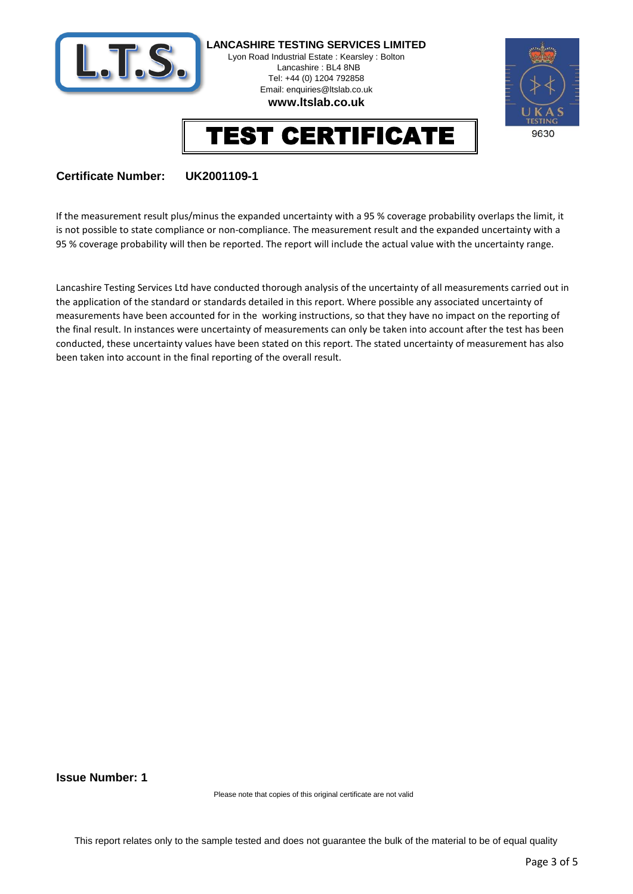

Lyon Road Industrial Estate : Kearsley : Bolton Lancashire : BL4 8NB

Tel: +44 (0) 1204 792858

Email: enquiries@ltslab.co.uk

**www.ltslab.co.uk**





**Certificate Number: UK2001109-1**

If the measurement result plus/minus the expanded uncertainty with a 95 % coverage probability overlaps the limit, it is not possible to state compliance or non-compliance. The measurement result and the expanded uncertainty with a 95 % coverage probability will then be reported. The report will include the actual value with the uncertainty range.

Lancashire Testing Services Ltd have conducted thorough analysis of the uncertainty of all measurements carried out in the application of the standard or standards detailed in this report. Where possible any associated uncertainty of measurements have been accounted for in the working instructions, so that they have no impact on the reporting of the final result. In instances were uncertainty of measurements can only be taken into account after the test has been conducted, these uncertainty values have been stated on this report. The stated uncertainty of measurement has also been taken into account in the final reporting of the overall result.

**1 Issue Number:**

Please note that copies of this original certificate are not valid

This report relates only to the sample tested and does not guarantee the bulk of the material to be of equal quality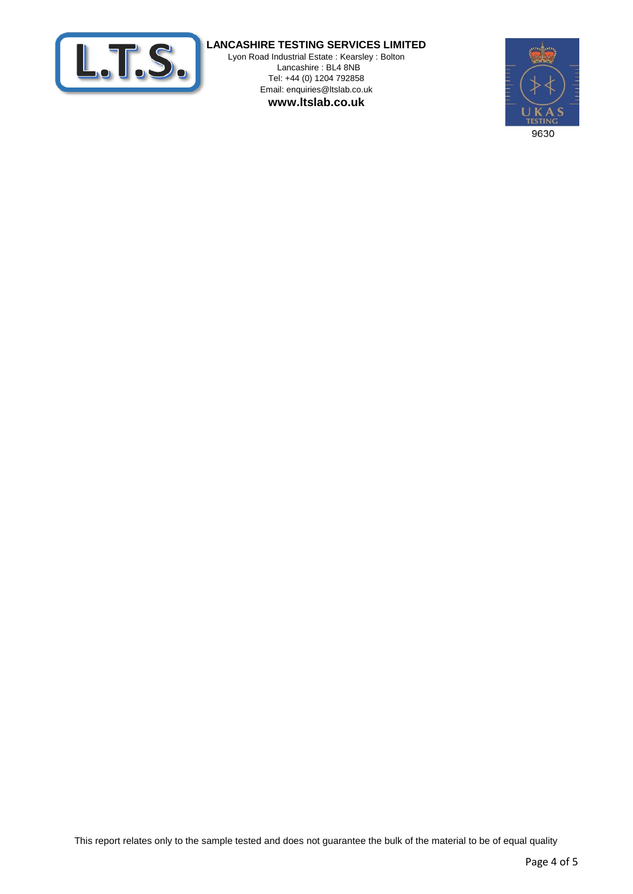

Lyon Road Industrial Estate : Kearsley : Bolton Lancashire : BL4 8NB Tel: +44 (0) 1204 792858 Email: enquiries@ltslab.co.uk

**www.ltslab.co.uk**



9630